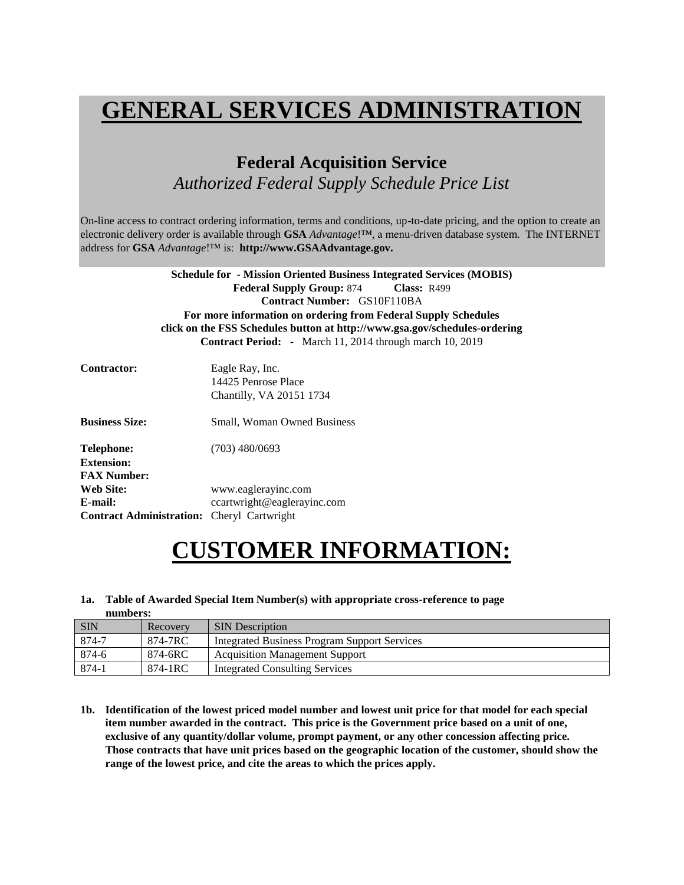### **GENERAL SERVICES ADMINISTRATION**

### **Federal Acquisition Service** *Authorized Federal Supply Schedule Price List*

On-line access to contract ordering information, terms and conditions, up-to-date pricing, and the option to create an electronic delivery order is available through **GSA** *Advantage*!™, a menu-driven database system. The INTERNET address for **GSA** *Advantage*!™ is: **http://www.GSAAdvantage.gov.**

|                                                   | <b>Schedule for - Mission Oriented Business Integrated Services (MOBIS)</b> |
|---------------------------------------------------|-----------------------------------------------------------------------------|
|                                                   | <b>Federal Supply Group: 874 Class: R499</b>                                |
|                                                   | <b>Contract Number: GS10F110BA</b>                                          |
|                                                   | For more information on ordering from Federal Supply Schedules              |
|                                                   | click on the FSS Schedules button at http://www.gsa.gov/schedules-ordering  |
|                                                   | <b>Contract Period:</b> - March 11, 2014 through march 10, 2019             |
| Contractor:                                       |                                                                             |
|                                                   | Eagle Ray, Inc.                                                             |
|                                                   | 14425 Penrose Place                                                         |
|                                                   | Chantilly, VA 20151 1734                                                    |
| <b>Business Size:</b>                             | <b>Small, Woman Owned Business</b>                                          |
| Telephone:                                        | $(703)$ 480/0693                                                            |
|                                                   |                                                                             |
| <b>Extension:</b>                                 |                                                                             |
| <b>FAX Number:</b>                                |                                                                             |
| Web Site:                                         | www.eaglerayinc.com                                                         |
| E-mail:                                           | ccartwright@eaglerayinc.com                                                 |
| <b>Contract Administration:</b> Cheryl Cartwright |                                                                             |

### **CUSTOMER INFORMATION:**

#### **1a. Table of Awarded Special Item Number(s) with appropriate cross-reference to page numbers:**

| <b>SIN</b> | Recovery | <b>SIN</b> Description                              |
|------------|----------|-----------------------------------------------------|
| 874-7      | 874-7RC  | <b>Integrated Business Program Support Services</b> |
| 874-6      | 874-6RC  | <b>Acquisition Management Support</b>               |
| 874-1      | 874-1RC  | Integrated Consulting Services                      |

**1b. Identification of the lowest priced model number and lowest unit price for that model for each special item number awarded in the contract. This price is the Government price based on a unit of one, exclusive of any quantity/dollar volume, prompt payment, or any other concession affecting price. Those contracts that have unit prices based on the geographic location of the customer, should show the range of the lowest price, and cite the areas to which the prices apply.**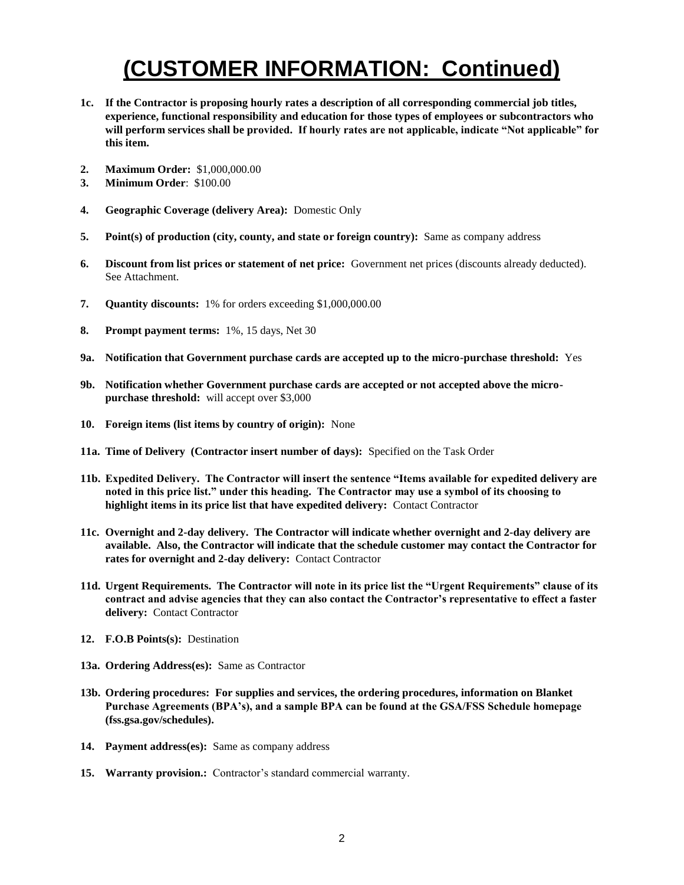- **1c. If the Contractor is proposing hourly rates a description of all corresponding commercial job titles, experience, functional responsibility and education for those types of employees or subcontractors who will perform services shall be provided. If hourly rates are not applicable, indicate "Not applicable" for this item.**
- **2. Maximum Order:** \$1,000,000.00
- **3. Minimum Order**: \$100.00
- **4. Geographic Coverage (delivery Area):** Domestic Only
- **5. Point(s) of production (city, county, and state or foreign country):** Same as company address
- **6. Discount from list prices or statement of net price:** Government net prices (discounts already deducted). See Attachment.
- **7. Quantity discounts:** 1% for orders exceeding \$1,000,000.00
- **8. Prompt payment terms:** 1%, 15 days, Net 30
- **9a. Notification that Government purchase cards are accepted up to the micro-purchase threshold:** Yes
- **9b. Notification whether Government purchase cards are accepted or not accepted above the micropurchase threshold:** will accept over \$3,000
- **10. Foreign items (list items by country of origin):** None
- **11a. Time of Delivery (Contractor insert number of days):** Specified on the Task Order
- **11b. Expedited Delivery. The Contractor will insert the sentence "Items available for expedited delivery are noted in this price list." under this heading. The Contractor may use a symbol of its choosing to highlight items in its price list that have expedited delivery:** Contact Contractor
- **11c. Overnight and 2-day delivery. The Contractor will indicate whether overnight and 2-day delivery are available. Also, the Contractor will indicate that the schedule customer may contact the Contractor for**  rates for overnight and 2-day delivery: Contact Contractor
- **11d. Urgent Requirements. The Contractor will note in its price list the "Urgent Requirements" clause of its contract and advise agencies that they can also contact the Contractor's representative to effect a faster delivery:** Contact Contractor
- **12. F.O.B Points(s):** Destination
- **13a. Ordering Address(es):** Same as Contractor
- **13b. Ordering procedures: For supplies and services, the ordering procedures, information on Blanket Purchase Agreements (BPA's), and a sample BPA can be found at the GSA/FSS Schedule homepage (fss.gsa.gov/schedules).**
- **14. Payment address(es):** Same as company address
- **15. Warranty provision.:** Contractor's standard commercial warranty.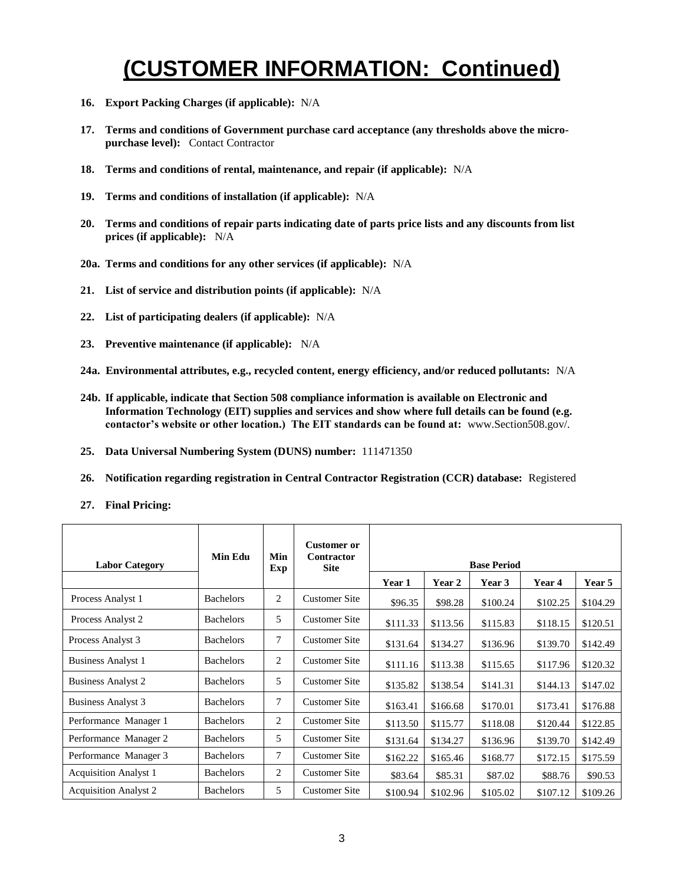- **16. Export Packing Charges (if applicable):** N/A
- **17. Terms and conditions of Government purchase card acceptance (any thresholds above the micropurchase level):** Contact Contractor
- **18. Terms and conditions of rental, maintenance, and repair (if applicable):** N/A
- **19. Terms and conditions of installation (if applicable):** N/A
- **20. Terms and conditions of repair parts indicating date of parts price lists and any discounts from list prices (if applicable):** N/A
- **20a. Terms and conditions for any other services (if applicable):** N/A
- **21. List of service and distribution points (if applicable):** N/A
- **22. List of participating dealers (if applicable):** N/A
- **23. Preventive maintenance (if applicable):** N/A
- **24a. Environmental attributes, e.g., recycled content, energy efficiency, and/or reduced pollutants:** N/A
- **24b. If applicable, indicate that Section 508 compliance information is available on Electronic and Information Technology (EIT) supplies and services and show where full details can be found (e.g. contactor's website or other location.) The EIT standards can be found at:** www.Section508.gov/.
- **25. Data Universal Numbering System (DUNS) number:** 111471350
- **26. Notification regarding registration in Central Contractor Registration (CCR) database:** Registered
- **27. Final Pricing:**

| <b>Labor Category</b>        | <b>Min Edu</b>   | Min<br>Exp     | <b>Customer or</b><br>Contractor<br><b>Site</b> |          |          | <b>Base Period</b> |          |          |
|------------------------------|------------------|----------------|-------------------------------------------------|----------|----------|--------------------|----------|----------|
|                              |                  |                |                                                 | Year 1   | Year 2   | Year 3             | Year 4   | Year 5   |
| Process Analyst 1            | <b>Bachelors</b> | 2              | <b>Customer Site</b>                            | \$96.35  | \$98.28  | \$100.24           | \$102.25 | \$104.29 |
| Process Analyst 2            | <b>Bachelors</b> | 5              | <b>Customer Site</b>                            | \$111.33 | \$113.56 | \$115.83           | \$118.15 | \$120.51 |
| Process Analyst 3            | <b>Bachelors</b> | 7              | <b>Customer Site</b>                            | \$131.64 | \$134.27 | \$136.96           | \$139.70 | \$142.49 |
| <b>Business Analyst 1</b>    | <b>Bachelors</b> | $\overline{c}$ | <b>Customer Site</b>                            | \$111.16 | \$113.38 | \$115.65           | \$117.96 | \$120.32 |
| <b>Business Analyst 2</b>    | <b>Bachelors</b> | 5              | <b>Customer Site</b>                            | \$135.82 | \$138.54 | \$141.31           | \$144.13 | \$147.02 |
| <b>Business Analyst 3</b>    | <b>Bachelors</b> | $\tau$         | <b>Customer Site</b>                            | \$163.41 | \$166.68 | \$170.01           | \$173.41 | \$176.88 |
| Performance Manager 1        | <b>Bachelors</b> | $\overline{2}$ | <b>Customer Site</b>                            | \$113.50 | \$115.77 | \$118.08           | \$120.44 | \$122.85 |
| Performance Manager 2        | <b>Bachelors</b> | 5              | <b>Customer Site</b>                            | \$131.64 | \$134.27 | \$136.96           | \$139.70 | \$142.49 |
| Performance Manager 3        | <b>Bachelors</b> | $\tau$         | <b>Customer Site</b>                            | \$162.22 | \$165.46 | \$168.77           | \$172.15 | \$175.59 |
| <b>Acquisition Analyst 1</b> | <b>Bachelors</b> | 2              | <b>Customer Site</b>                            | \$83.64  | \$85.31  | \$87.02            | \$88.76  | \$90.53  |
| <b>Acquisition Analyst 2</b> | <b>Bachelors</b> | 5              | <b>Customer Site</b>                            | \$100.94 | \$102.96 | \$105.02           | \$107.12 | \$109.26 |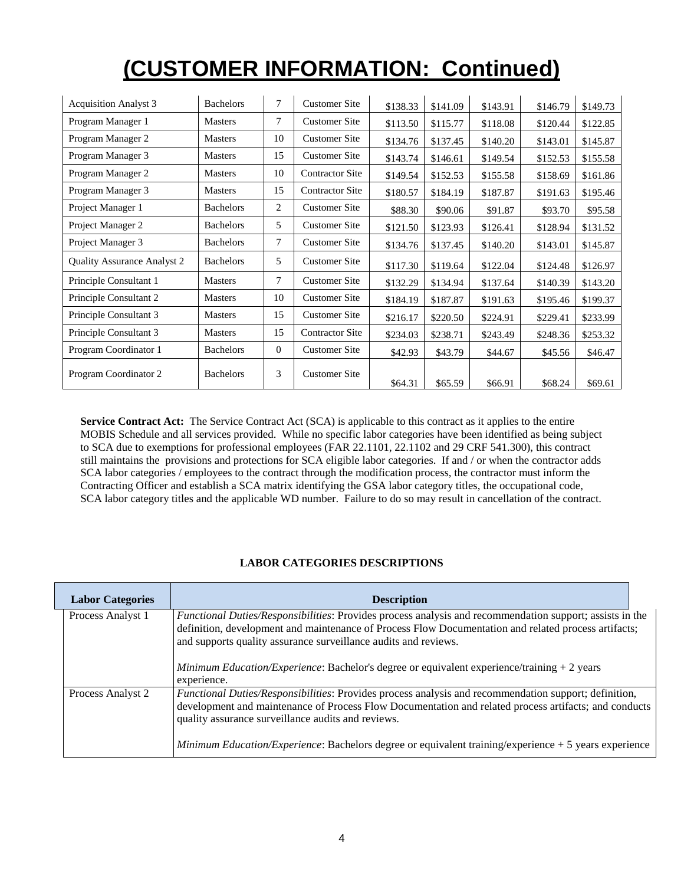| <b>Acquisition Analyst 3</b>       | <b>Bachelors</b> | 7        | <b>Customer Site</b>   | \$138.33 | \$141.09 | \$143.91 | \$146.79 | \$149.73 |
|------------------------------------|------------------|----------|------------------------|----------|----------|----------|----------|----------|
| Program Manager 1                  | <b>Masters</b>   | 7        | <b>Customer Site</b>   | \$113.50 | \$115.77 | \$118.08 | \$120.44 | \$122.85 |
| Program Manager 2                  | <b>Masters</b>   | 10       | <b>Customer Site</b>   | \$134.76 | \$137.45 | \$140.20 | \$143.01 | \$145.87 |
| Program Manager 3                  | <b>Masters</b>   | 15       | <b>Customer Site</b>   | \$143.74 | \$146.61 | \$149.54 | \$152.53 | \$155.58 |
| Program Manager 2                  | <b>Masters</b>   | 10       | <b>Contractor Site</b> | \$149.54 | \$152.53 | \$155.58 | \$158.69 | \$161.86 |
| Program Manager 3                  | <b>Masters</b>   | 15       | <b>Contractor Site</b> | \$180.57 | \$184.19 | \$187.87 | \$191.63 | \$195.46 |
| Project Manager 1                  | <b>Bachelors</b> | 2        | <b>Customer Site</b>   | \$88.30  | \$90.06  | \$91.87  | \$93.70  | \$95.58  |
| Project Manager 2                  | <b>Bachelors</b> | 5        | <b>Customer Site</b>   | \$121.50 | \$123.93 | \$126.41 | \$128.94 | \$131.52 |
| Project Manager 3                  | <b>Bachelors</b> | $\tau$   | <b>Customer Site</b>   | \$134.76 | \$137.45 | \$140.20 | \$143.01 | \$145.87 |
| <b>Quality Assurance Analyst 2</b> | <b>Bachelors</b> | 5        | <b>Customer Site</b>   | \$117.30 | \$119.64 | \$122.04 | \$124.48 | \$126.97 |
| Principle Consultant 1             | <b>Masters</b>   | $\tau$   | <b>Customer Site</b>   | \$132.29 | \$134.94 | \$137.64 | \$140.39 | \$143.20 |
| Principle Consultant 2             | <b>Masters</b>   | 10       | <b>Customer Site</b>   | \$184.19 | \$187.87 | \$191.63 | \$195.46 | \$199.37 |
| Principle Consultant 3             | <b>Masters</b>   | 15       | <b>Customer Site</b>   | \$216.17 | \$220.50 | \$224.91 | \$229.41 | \$233.99 |
| Principle Consultant 3             | <b>Masters</b>   | 15       | <b>Contractor Site</b> | \$234.03 | \$238.71 | \$243.49 | \$248.36 | \$253.32 |
| Program Coordinator 1              | <b>Bachelors</b> | $\Omega$ | <b>Customer Site</b>   | \$42.93  | \$43.79  | \$44.67  | \$45.56  | \$46.47  |
| Program Coordinator 2              | <b>Bachelors</b> | 3        | <b>Customer Site</b>   | \$64.31  | \$65.59  | \$66.91  | \$68.24  | \$69.61  |

**Service Contract Act:** The Service Contract Act (SCA) is applicable to this contract as it applies to the entire MOBIS Schedule and all services provided. While no specific labor categories have been identified as being subject to SCA due to exemptions for professional employees (FAR 22.1101, 22.1102 and 29 CRF 541.300), this contract still maintains the provisions and protections for SCA eligible labor categories. If and / or when the contractor adds SCA labor categories / employees to the contract through the modification process, the contractor must inform the Contracting Officer and establish a SCA matrix identifying the GSA labor category titles, the occupational code, SCA labor category titles and the applicable WD number. Failure to do so may result in cancellation of the contract.

#### **LABOR CATEGORIES DESCRIPTIONS**

| <b>Labor Categories</b> | <b>Description</b>                                                                                                                                                                                                                                                                  |
|-------------------------|-------------------------------------------------------------------------------------------------------------------------------------------------------------------------------------------------------------------------------------------------------------------------------------|
| Process Analyst 1       | Functional Duties/Responsibilities: Provides process analysis and recommendation support; assists in the<br>definition, development and maintenance of Process Flow Documentation and related process artifacts;<br>and supports quality assurance surveillance audits and reviews. |
|                         | <i>Minimum Education/Experience:</i> Bachelor's degree or equivalent experience/training $+2$ years<br>experience.                                                                                                                                                                  |
| Process Analyst 2       | <i>Functional Duties/Responsibilities:</i> Provides process analysis and recommendation support; definition,<br>development and maintenance of Process Flow Documentation and related process artifacts; and conducts<br>quality assurance surveillance audits and reviews.         |
|                         | Minimum Education/Experience: Bachelors degree or equivalent training/experience + 5 years experience                                                                                                                                                                               |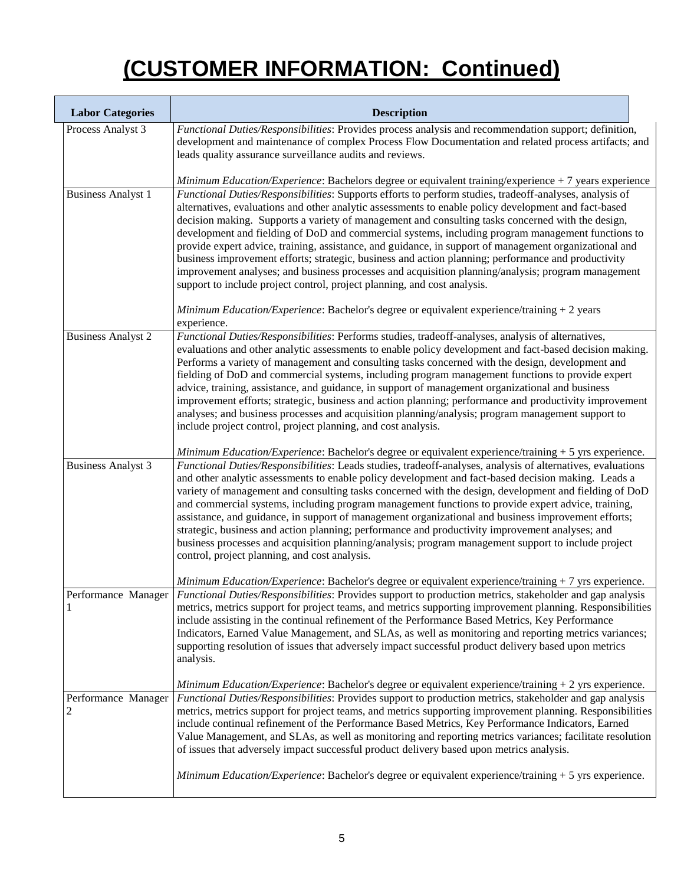| <b>Labor Categories</b>               | <b>Description</b>                                                                                                                                                                                                                                                                                                                                                                                                                                                                                                                                                                                                                                                                                                                                                                                                                                                                                                          |
|---------------------------------------|-----------------------------------------------------------------------------------------------------------------------------------------------------------------------------------------------------------------------------------------------------------------------------------------------------------------------------------------------------------------------------------------------------------------------------------------------------------------------------------------------------------------------------------------------------------------------------------------------------------------------------------------------------------------------------------------------------------------------------------------------------------------------------------------------------------------------------------------------------------------------------------------------------------------------------|
| Process Analyst 3                     | Functional Duties/Responsibilities: Provides process analysis and recommendation support; definition,<br>development and maintenance of complex Process Flow Documentation and related process artifacts; and<br>leads quality assurance surveillance audits and reviews.                                                                                                                                                                                                                                                                                                                                                                                                                                                                                                                                                                                                                                                   |
|                                       | Minimum Education/Experience: Bachelors degree or equivalent training/experience + 7 years experience                                                                                                                                                                                                                                                                                                                                                                                                                                                                                                                                                                                                                                                                                                                                                                                                                       |
| <b>Business Analyst 1</b>             | Functional Duties/Responsibilities: Supports efforts to perform studies, tradeoff-analyses, analysis of<br>alternatives, evaluations and other analytic assessments to enable policy development and fact-based<br>decision making. Supports a variety of management and consulting tasks concerned with the design,<br>development and fielding of DoD and commercial systems, including program management functions to<br>provide expert advice, training, assistance, and guidance, in support of management organizational and<br>business improvement efforts; strategic, business and action planning; performance and productivity<br>improvement analyses; and business processes and acquisition planning/analysis; program management<br>support to include project control, project planning, and cost analysis.<br>Minimum Education/Experience: Bachelor's degree or equivalent experience/training + 2 years |
|                                       | experience.                                                                                                                                                                                                                                                                                                                                                                                                                                                                                                                                                                                                                                                                                                                                                                                                                                                                                                                 |
| <b>Business Analyst 2</b>             | Functional Duties/Responsibilities: Performs studies, tradeoff-analyses, analysis of alternatives,<br>evaluations and other analytic assessments to enable policy development and fact-based decision making.<br>Performs a variety of management and consulting tasks concerned with the design, development and<br>fielding of DoD and commercial systems, including program management functions to provide expert<br>advice, training, assistance, and guidance, in support of management organizational and business<br>improvement efforts; strategic, business and action planning; performance and productivity improvement<br>analyses; and business processes and acquisition planning/analysis; program management support to<br>include project control, project planning, and cost analysis.                                                                                                                   |
|                                       | Minimum Education/Experience: Bachelor's degree or equivalent experience/training + 5 yrs experience.                                                                                                                                                                                                                                                                                                                                                                                                                                                                                                                                                                                                                                                                                                                                                                                                                       |
| <b>Business Analyst 3</b>             | Functional Duties/Responsibilities: Leads studies, tradeoff-analyses, analysis of alternatives, evaluations<br>and other analytic assessments to enable policy development and fact-based decision making. Leads a<br>variety of management and consulting tasks concerned with the design, development and fielding of DoD<br>and commercial systems, including program management functions to provide expert advice, training,<br>assistance, and guidance, in support of management organizational and business improvement efforts;<br>strategic, business and action planning; performance and productivity improvement analyses; and<br>business processes and acquisition planning/analysis; program management support to include project<br>control, project planning, and cost analysis.                                                                                                                         |
|                                       | Minimum Education/Experience: Bachelor's degree or equivalent experience/training + 7 yrs experience.                                                                                                                                                                                                                                                                                                                                                                                                                                                                                                                                                                                                                                                                                                                                                                                                                       |
| Performance Manager<br>1              | Functional Duties/Responsibilities: Provides support to production metrics, stakeholder and gap analysis<br>metrics, metrics support for project teams, and metrics supporting improvement planning. Responsibilities<br>include assisting in the continual refinement of the Performance Based Metrics, Key Performance<br>Indicators, Earned Value Management, and SLAs, as well as monitoring and reporting metrics variances;<br>supporting resolution of issues that adversely impact successful product delivery based upon metrics<br>analysis.                                                                                                                                                                                                                                                                                                                                                                      |
|                                       | Minimum Education/Experience: Bachelor's degree or equivalent experience/training + 2 yrs experience.                                                                                                                                                                                                                                                                                                                                                                                                                                                                                                                                                                                                                                                                                                                                                                                                                       |
| Performance Manager<br>$\overline{c}$ | Functional Duties/Responsibilities: Provides support to production metrics, stakeholder and gap analysis<br>metrics, metrics support for project teams, and metrics supporting improvement planning. Responsibilities<br>include continual refinement of the Performance Based Metrics, Key Performance Indicators, Earned<br>Value Management, and SLAs, as well as monitoring and reporting metrics variances; facilitate resolution<br>of issues that adversely impact successful product delivery based upon metrics analysis.                                                                                                                                                                                                                                                                                                                                                                                          |
|                                       | Minimum Education/Experience: Bachelor's degree or equivalent experience/training + 5 yrs experience.                                                                                                                                                                                                                                                                                                                                                                                                                                                                                                                                                                                                                                                                                                                                                                                                                       |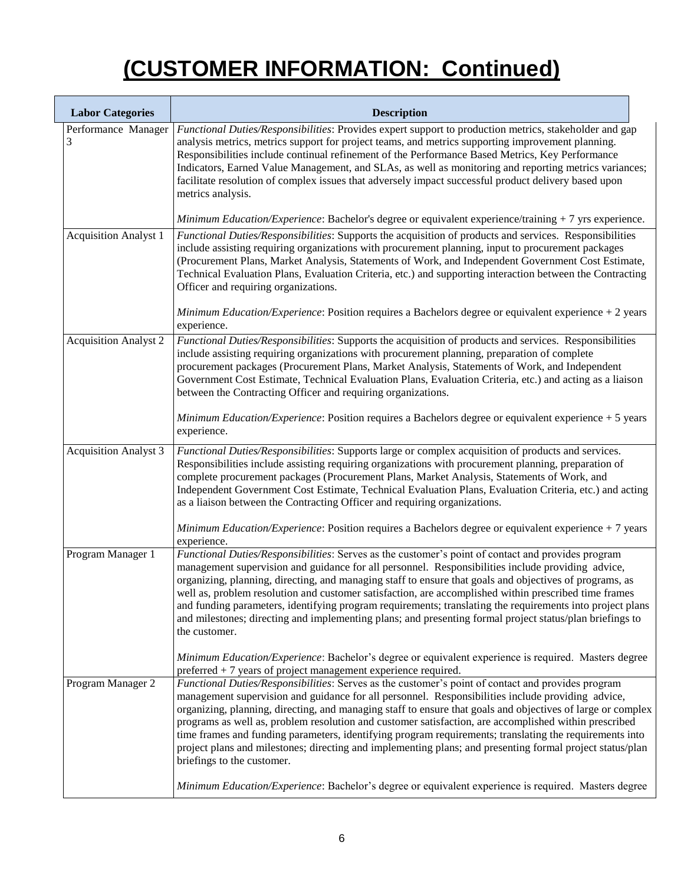| <b>Labor Categories</b>      | <b>Description</b>                                                                                                                                                                                                                                                                                                                                                                                                                                                                                                                                                                                                                                                                    |
|------------------------------|---------------------------------------------------------------------------------------------------------------------------------------------------------------------------------------------------------------------------------------------------------------------------------------------------------------------------------------------------------------------------------------------------------------------------------------------------------------------------------------------------------------------------------------------------------------------------------------------------------------------------------------------------------------------------------------|
| Performance Manager<br>3     | Functional Duties/Responsibilities: Provides expert support to production metrics, stakeholder and gap<br>analysis metrics, metrics support for project teams, and metrics supporting improvement planning.<br>Responsibilities include continual refinement of the Performance Based Metrics, Key Performance<br>Indicators, Earned Value Management, and SLAs, as well as monitoring and reporting metrics variances;<br>facilitate resolution of complex issues that adversely impact successful product delivery based upon<br>metrics analysis.                                                                                                                                  |
|                              | Minimum Education/Experience: Bachelor's degree or equivalent experience/training + 7 yrs experience.                                                                                                                                                                                                                                                                                                                                                                                                                                                                                                                                                                                 |
| <b>Acquisition Analyst 1</b> | Functional Duties/Responsibilities: Supports the acquisition of products and services. Responsibilities<br>include assisting requiring organizations with procurement planning, input to procurement packages<br>(Procurement Plans, Market Analysis, Statements of Work, and Independent Government Cost Estimate,<br>Technical Evaluation Plans, Evaluation Criteria, etc.) and supporting interaction between the Contracting<br>Officer and requiring organizations.<br>Minimum Education/Experience: Position requires a Bachelors degree or equivalent experience + 2 years                                                                                                     |
|                              | experience.                                                                                                                                                                                                                                                                                                                                                                                                                                                                                                                                                                                                                                                                           |
| <b>Acquisition Analyst 2</b> | Functional Duties/Responsibilities: Supports the acquisition of products and services. Responsibilities<br>include assisting requiring organizations with procurement planning, preparation of complete<br>procurement packages (Procurement Plans, Market Analysis, Statements of Work, and Independent<br>Government Cost Estimate, Technical Evaluation Plans, Evaluation Criteria, etc.) and acting as a liaison<br>between the Contracting Officer and requiring organizations.                                                                                                                                                                                                  |
|                              | Minimum Education/Experience: Position requires a Bachelors degree or equivalent experience + 5 years<br>experience.                                                                                                                                                                                                                                                                                                                                                                                                                                                                                                                                                                  |
| <b>Acquisition Analyst 3</b> | Functional Duties/Responsibilities: Supports large or complex acquisition of products and services.<br>Responsibilities include assisting requiring organizations with procurement planning, preparation of<br>complete procurement packages (Procurement Plans, Market Analysis, Statements of Work, and<br>Independent Government Cost Estimate, Technical Evaluation Plans, Evaluation Criteria, etc.) and acting<br>as a liaison between the Contracting Officer and requiring organizations.                                                                                                                                                                                     |
|                              | Minimum Education/Experience: Position requires a Bachelors degree or equivalent experience + 7 years<br>experience.                                                                                                                                                                                                                                                                                                                                                                                                                                                                                                                                                                  |
| Program Manager 1            | Functional Duties/Responsibilities: Serves as the customer's point of contact and provides program<br>management supervision and guidance for all personnel. Responsibilities include providing advice,<br>organizing, planning, directing, and managing staff to ensure that goals and objectives of programs, as<br>well as, problem resolution and customer satisfaction, are accomplished within prescribed time frames<br>and funding parameters, identifying program requirements; translating the requirements into project plans<br>and milestones; directing and implementing plans; and presenting formal project status/plan briefings to<br>the customer.                 |
|                              | Minimum Education/Experience: Bachelor's degree or equivalent experience is required. Masters degree<br>preferred $+7$ years of project management experience required.                                                                                                                                                                                                                                                                                                                                                                                                                                                                                                               |
| Program Manager 2            | Functional Duties/Responsibilities: Serves as the customer's point of contact and provides program<br>management supervision and guidance for all personnel. Responsibilities include providing advice,<br>organizing, planning, directing, and managing staff to ensure that goals and objectives of large or complex<br>programs as well as, problem resolution and customer satisfaction, are accomplished within prescribed<br>time frames and funding parameters, identifying program requirements; translating the requirements into<br>project plans and milestones; directing and implementing plans; and presenting formal project status/plan<br>briefings to the customer. |
|                              | Minimum Education/Experience: Bachelor's degree or equivalent experience is required. Masters degree                                                                                                                                                                                                                                                                                                                                                                                                                                                                                                                                                                                  |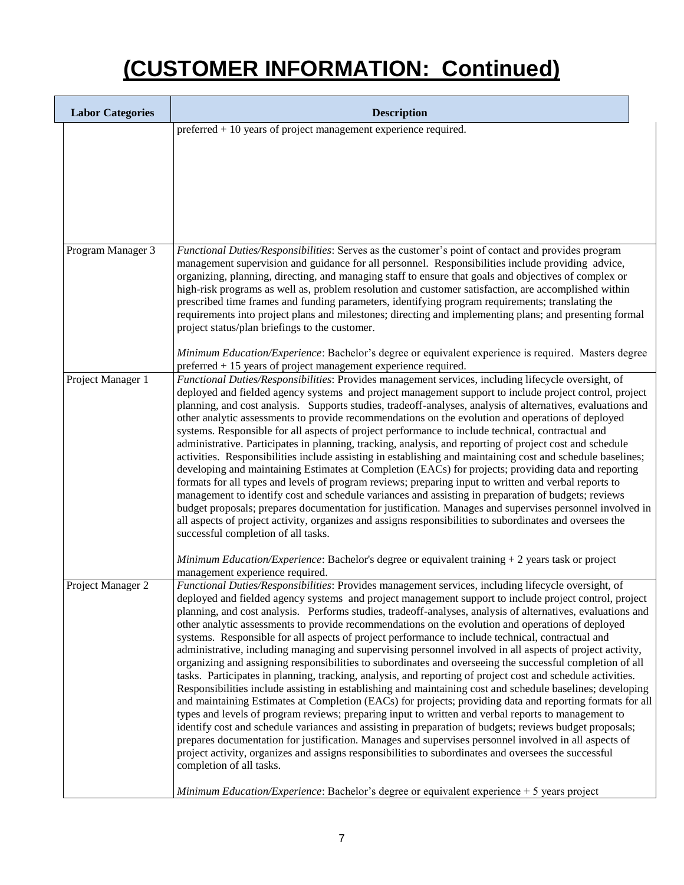| <b>Labor Categories</b> | <b>Description</b>                                                                                                                                                                                                                                                                                                                                                                                                                                                                                                                                                                                                                                                                                                                                                                                                                                                                                                                                                                                                                                                                                                                                                                                                                                                                                                                                                                                                                                                                                                                                                                                                                                                      |
|-------------------------|-------------------------------------------------------------------------------------------------------------------------------------------------------------------------------------------------------------------------------------------------------------------------------------------------------------------------------------------------------------------------------------------------------------------------------------------------------------------------------------------------------------------------------------------------------------------------------------------------------------------------------------------------------------------------------------------------------------------------------------------------------------------------------------------------------------------------------------------------------------------------------------------------------------------------------------------------------------------------------------------------------------------------------------------------------------------------------------------------------------------------------------------------------------------------------------------------------------------------------------------------------------------------------------------------------------------------------------------------------------------------------------------------------------------------------------------------------------------------------------------------------------------------------------------------------------------------------------------------------------------------------------------------------------------------|
|                         | preferred + 10 years of project management experience required.                                                                                                                                                                                                                                                                                                                                                                                                                                                                                                                                                                                                                                                                                                                                                                                                                                                                                                                                                                                                                                                                                                                                                                                                                                                                                                                                                                                                                                                                                                                                                                                                         |
| Program Manager 3       | Functional Duties/Responsibilities: Serves as the customer's point of contact and provides program<br>management supervision and guidance for all personnel. Responsibilities include providing advice,<br>organizing, planning, directing, and managing staff to ensure that goals and objectives of complex or<br>high-risk programs as well as, problem resolution and customer satisfaction, are accomplished within<br>prescribed time frames and funding parameters, identifying program requirements; translating the<br>requirements into project plans and milestones; directing and implementing plans; and presenting formal<br>project status/plan briefings to the customer.<br>Minimum Education/Experience: Bachelor's degree or equivalent experience is required. Masters degree<br>preferred + 15 years of project management experience required.                                                                                                                                                                                                                                                                                                                                                                                                                                                                                                                                                                                                                                                                                                                                                                                                    |
| Project Manager 1       | Functional Duties/Responsibilities: Provides management services, including lifecycle oversight, of<br>deployed and fielded agency systems and project management support to include project control, project<br>planning, and cost analysis. Supports studies, tradeoff-analyses, analysis of alternatives, evaluations and<br>other analytic assessments to provide recommendations on the evolution and operations of deployed<br>systems. Responsible for all aspects of project performance to include technical, contractual and<br>administrative. Participates in planning, tracking, analysis, and reporting of project cost and schedule<br>activities. Responsibilities include assisting in establishing and maintaining cost and schedule baselines;<br>developing and maintaining Estimates at Completion (EACs) for projects; providing data and reporting<br>formats for all types and levels of program reviews; preparing input to written and verbal reports to<br>management to identify cost and schedule variances and assisting in preparation of budgets; reviews<br>budget proposals; prepares documentation for justification. Manages and supervises personnel involved in<br>all aspects of project activity, organizes and assigns responsibilities to subordinates and oversees the<br>successful completion of all tasks.<br>Minimum Education/Experience: Bachelor's degree or equivalent training + 2 years task or project<br>management experience required.                                                                                                                                                                         |
| Project Manager 2       | Functional Duties/Responsibilities: Provides management services, including lifecycle oversight, of<br>deployed and fielded agency systems and project management support to include project control, project<br>planning, and cost analysis. Performs studies, tradeoff-analyses, analysis of alternatives, evaluations and<br>other analytic assessments to provide recommendations on the evolution and operations of deployed<br>systems. Responsible for all aspects of project performance to include technical, contractual and<br>administrative, including managing and supervising personnel involved in all aspects of project activity,<br>organizing and assigning responsibilities to subordinates and overseeing the successful completion of all<br>tasks. Participates in planning, tracking, analysis, and reporting of project cost and schedule activities.<br>Responsibilities include assisting in establishing and maintaining cost and schedule baselines; developing<br>and maintaining Estimates at Completion (EACs) for projects; providing data and reporting formats for all<br>types and levels of program reviews; preparing input to written and verbal reports to management to<br>identify cost and schedule variances and assisting in preparation of budgets; reviews budget proposals;<br>prepares documentation for justification. Manages and supervises personnel involved in all aspects of<br>project activity, organizes and assigns responsibilities to subordinates and oversees the successful<br>completion of all tasks.<br>Minimum Education/Experience: Bachelor's degree or equivalent experience + 5 years project |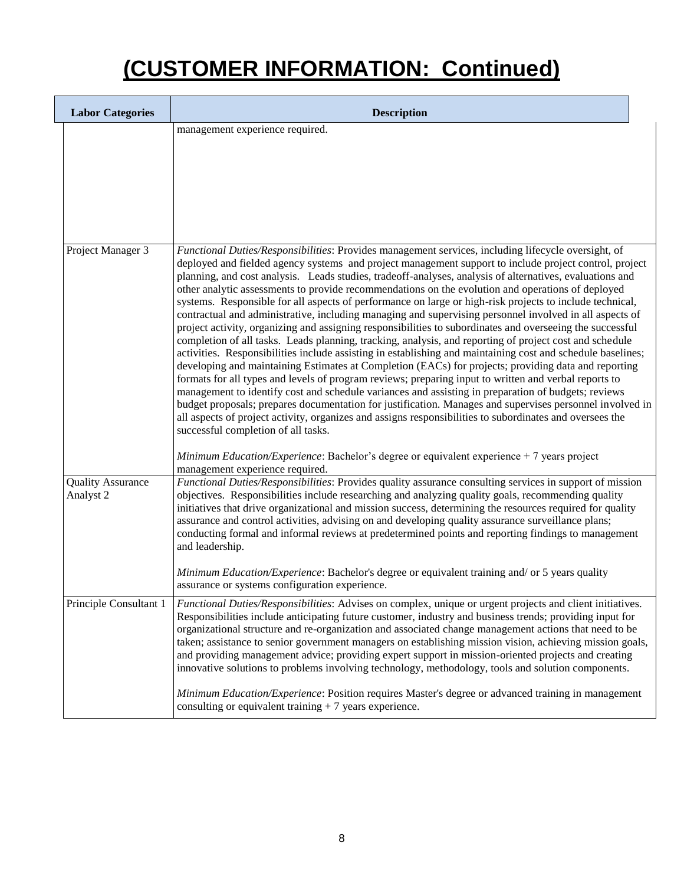| <b>Labor Categories</b>               | <b>Description</b>                                                                                                                                                                                                                                                                                                                                                                                                                                                                                                                                                                                                                                                                                                                                                                                                                                                                                                                                                                                                                                                                                                                                                                                                                                                                                                                                                                                                                                                                                                                                                                  |
|---------------------------------------|-------------------------------------------------------------------------------------------------------------------------------------------------------------------------------------------------------------------------------------------------------------------------------------------------------------------------------------------------------------------------------------------------------------------------------------------------------------------------------------------------------------------------------------------------------------------------------------------------------------------------------------------------------------------------------------------------------------------------------------------------------------------------------------------------------------------------------------------------------------------------------------------------------------------------------------------------------------------------------------------------------------------------------------------------------------------------------------------------------------------------------------------------------------------------------------------------------------------------------------------------------------------------------------------------------------------------------------------------------------------------------------------------------------------------------------------------------------------------------------------------------------------------------------------------------------------------------------|
|                                       | management experience required.                                                                                                                                                                                                                                                                                                                                                                                                                                                                                                                                                                                                                                                                                                                                                                                                                                                                                                                                                                                                                                                                                                                                                                                                                                                                                                                                                                                                                                                                                                                                                     |
| Project Manager 3                     | Functional Duties/Responsibilities: Provides management services, including lifecycle oversight, of<br>deployed and fielded agency systems and project management support to include project control, project<br>planning, and cost analysis. Leads studies, tradeoff-analyses, analysis of alternatives, evaluations and<br>other analytic assessments to provide recommendations on the evolution and operations of deployed<br>systems. Responsible for all aspects of performance on large or high-risk projects to include technical,<br>contractual and administrative, including managing and supervising personnel involved in all aspects of<br>project activity, organizing and assigning responsibilities to subordinates and overseeing the successful<br>completion of all tasks. Leads planning, tracking, analysis, and reporting of project cost and schedule<br>activities. Responsibilities include assisting in establishing and maintaining cost and schedule baselines;<br>developing and maintaining Estimates at Completion (EACs) for projects; providing data and reporting<br>formats for all types and levels of program reviews; preparing input to written and verbal reports to<br>management to identify cost and schedule variances and assisting in preparation of budgets; reviews<br>budget proposals; prepares documentation for justification. Manages and supervises personnel involved in<br>all aspects of project activity, organizes and assigns responsibilities to subordinates and oversees the<br>successful completion of all tasks. |
|                                       | Minimum Education/Experience: Bachelor's degree or equivalent experience + 7 years project<br>management experience required.                                                                                                                                                                                                                                                                                                                                                                                                                                                                                                                                                                                                                                                                                                                                                                                                                                                                                                                                                                                                                                                                                                                                                                                                                                                                                                                                                                                                                                                       |
| <b>Quality Assurance</b><br>Analyst 2 | Functional Duties/Responsibilities: Provides quality assurance consulting services in support of mission<br>objectives. Responsibilities include researching and analyzing quality goals, recommending quality<br>initiatives that drive organizational and mission success, determining the resources required for quality<br>assurance and control activities, advising on and developing quality assurance surveillance plans;<br>conducting formal and informal reviews at predetermined points and reporting findings to management<br>and leadership.                                                                                                                                                                                                                                                                                                                                                                                                                                                                                                                                                                                                                                                                                                                                                                                                                                                                                                                                                                                                                         |
|                                       | Minimum Education/Experience: Bachelor's degree or equivalent training and/ or 5 years quality<br>assurance or systems configuration experience.                                                                                                                                                                                                                                                                                                                                                                                                                                                                                                                                                                                                                                                                                                                                                                                                                                                                                                                                                                                                                                                                                                                                                                                                                                                                                                                                                                                                                                    |
| Principle Consultant 1                | Functional Duties/Responsibilities: Advises on complex, unique or urgent projects and client initiatives.<br>Responsibilities include anticipating future customer, industry and business trends; providing input for<br>organizational structure and re-organization and associated change management actions that need to be<br>taken; assistance to senior government managers on establishing mission vision, achieving mission goals,<br>and providing management advice; providing expert support in mission-oriented projects and creating<br>innovative solutions to problems involving technology, methodology, tools and solution components.                                                                                                                                                                                                                                                                                                                                                                                                                                                                                                                                                                                                                                                                                                                                                                                                                                                                                                                             |
|                                       | Minimum Education/Experience: Position requires Master's degree or advanced training in management<br>consulting or equivalent training $+7$ years experience.                                                                                                                                                                                                                                                                                                                                                                                                                                                                                                                                                                                                                                                                                                                                                                                                                                                                                                                                                                                                                                                                                                                                                                                                                                                                                                                                                                                                                      |